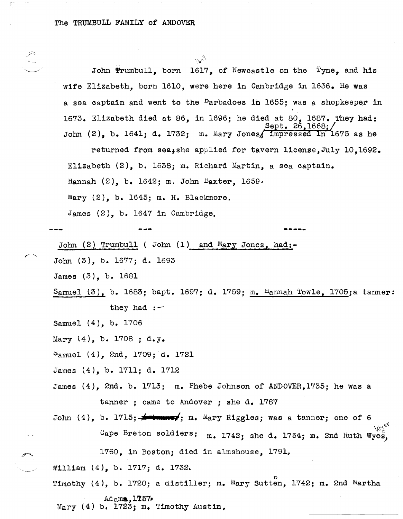John Trumbull, born 1617, of Newcastle on the Tyne, and his wife Elizabeth, born 1610, were here in Cambridge in 1636. He was a sea captain and went to the <sup>B</sup>arbadoes in 1655; was a shopkeeper in 1673. Elizabeth died at 86, in 1696; he died at 80, 1687. They had: Sept. 26,1668; John  $(2)$ , b. 1641; d. 1732; m. Mary Jones, impressed In 1675 as he

 $\frac{1}{2}$ 

returned from sea;she applied for tavern license,July 10,1692. Elizabeth (2), b. 1638; m. Richard Martin, a sea captain.

**-----**

Hannah  $(2)$ , b. 1642; m. John Baxter, 1659.

Mary  $(2)$ , b. 1645; m. H. Blackmore.

James (2), b. 1647 in Cambridge,

 $\sum_{i=1}^{\infty}$ 

John (2) Trumbull ( John (1) and Mary Jones, had:-

John (3), b. 1677; d. 1693

James (3), b. 1681

Samuel (3), b. 1683; bapt. 1697; d. 1759; m. Hannah Towle, 1705; a tanner:<br>they had  $:$ 

Samuel (4), b. 1706

Mary  $(4)$ , b. 1708 ; d.y.

~amuel (4), 2nd, 1709; d. 1721

James (4), b. 1711; d. 1712

James (4), 2nd. b. 1713; m. Phebe Johnson of ANDOVER, 1735; he was a tanner; came to Andover; she d. 1787

John (4), b. 1715; **Anton ext**; m. Mary Riggles; was a tanner; one of 6 Cape Breton soldiers;  $\,$  m. 1742; she d. 1754; m. 2nd Ruth Wyes, 1760, in Boston; died in almshouse, 1791.

William (4), b. 1717; d. 1732.

rimothy (4), b. 1720; a distiller; m. Mary Sutten, 1742; m. 2nd Martha  $Ad<sub>a</sub>ms, 1757$ Mary  $(4)$  b. 1723; m. Timothy Austin,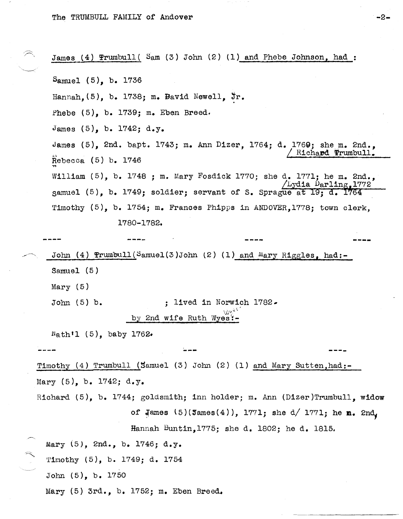Mary (5) 3rd., b. 1752; m. Eben Breed.

James (4)  $Prumbull( Sam (3) John (2) (1) and Phebe Johnson, had:$ Samuel (5), b. 1736 Hannah,  $(5)$ , b. 1738; m. Bavid Newell,  $jr.$ Phebe  $(5)$ , b. 1739; m. Eben Breed.  $James (5)$ , b. 1742; d.y. James  $(5)$ , 2nd. bapt. 1743; m. Ann Dizer, 1764; d. 1769; she m. 2nd.,  $Rebecca$   $(5)$   $b. 1746$ William (5), b. 1748 ; m. Mary Fosdick 1770; she d. 1771; he m. 2nd., Lydia Darling, 1772 samuel  $(5)$ , b. 1749; soldier; servant of S. Sprague at 19; d. 1764 Timothy (5), b. 1754; m. Frances Phipps in ANDOVER,1778; town clerk, 1780-1782. John (4)  $Prumbull(Samuel(3)John (2) (1) and Mary Rigles, had:-$ Samuel (5) Mary (5) John  $(5)$  b.  $\qquad \qquad ;$  lived in Norwich 1782.  $\mathcal{M}$   $\sim$   $\,$ by 2nd wife Ruth Wyes':- .Nath'l (5), baby 1762. **----** Timothy (4) Trumbull (Samuel (3) John (2) (1) and Mary Sutten,had:- Mary  $(5)$ , b. 1742; d.y. **----** Richard (5), b. 1744; goldsmith; inn holder; m. Ann (Dizer)Trumbull, widow of  $\frac{1}{2}$ ames  $(5)(\frac{3}{2}$ ames $(4))$ , 1771; she d/ 1771; he **m.**  $2n\frac{1}{4}$ Hannah Buntin,1775; she d. 1802; he d. 1815, Mary (5), 2nd., b. 1746; d.y. 'l'imothy (5), b. 1749; d. 1754 John (5), b. 1750

 $-2-$